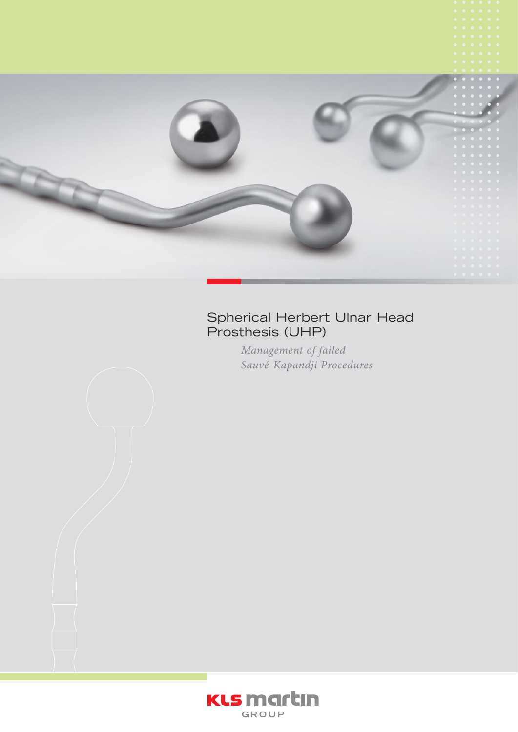

# Spherical Herbert Ulnar Head Prosthesis (UHP)

*Management of failed Sauvé-Kapandji Procedures*



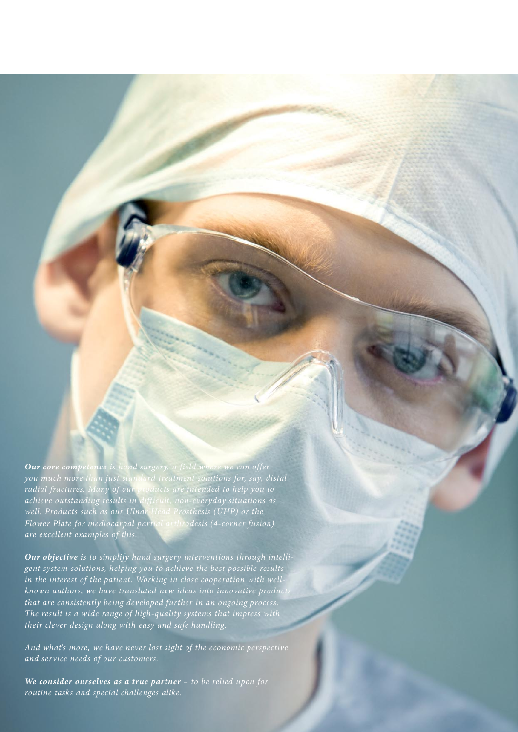*Our core competence is hand surgery, a field where we can offer you much more than just standard treatment solutions for, say, distal radial fractures. Many of our products are intended to help you to achieve outstanding results in difficult, non-everyday situations as well. Products such as our Ulnar Head Prosthesis (UHP) or the Flower Plate for mediocarpal partial arthrodesis (4-corner fusion) are excellent examples of this.* 

*Our objective is to simplify hand surgery interventions through intelligent system solutions, helping you to achieve the best possible results in the interest of the patient. Working in close cooperation with wellknown authors, we have translated new ideas into innovative products that are consistently being developed further in an ongoing process. The result is a wide range of high-quality systems that impress with their clever design along with easy and safe handling.* 

*And what's more, we have never lost sight of the economic perspective and service needs of our customers.*

*We consider ourselves as a true partner – to be relied upon for routine tasks and special challenges alike.*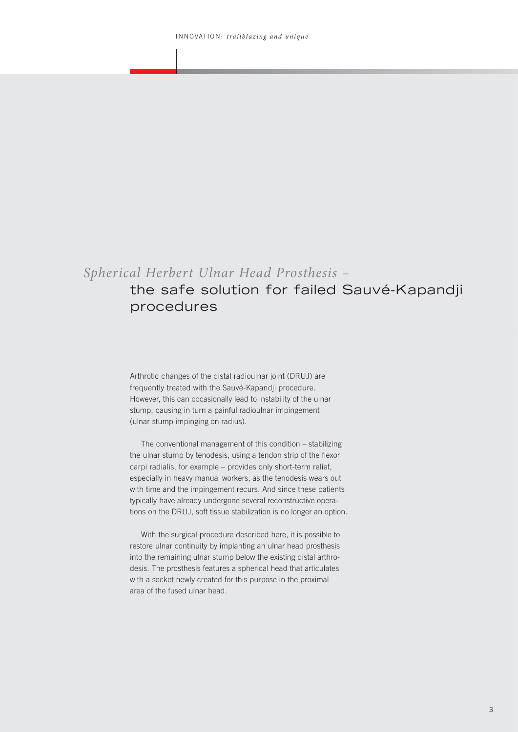# *Spherical Herbert Ulnar Head Prosthesis –* the safe solution for failed Sauvé-Kapandji procedures

Arthrotic changes of the distal radioulnar joint (DRUJ) are frequently treated with the Sauvé-Kapandji procedure. However, this can occasionally lead to instability of the ulnar stump, causing in turn a painful radioulnar impingement (ulnar stump impinging on radius).

The conventional management of this condition – stabilizing the ulnar stump by tenodesis, using a tendon strip of the flexor carpi radialis, for example – provides only short-term relief, especially in heavy manual workers, as the tenodesis wears out with time and the impingement recurs. And since these patients typically have already undergone several reconstructive operations on the DRUJ, soft tissue stabilization is no longer an option.

With the surgical procedure described here, it is possible to restore ulnar continuity by implanting an ulnar head prosthesis into the remaining ulnar stump below the existing distal arthrodesis. The prosthesis features a spherical head that articulates with a socket newly created for this purpose in the proximal area of the fused ulnar head.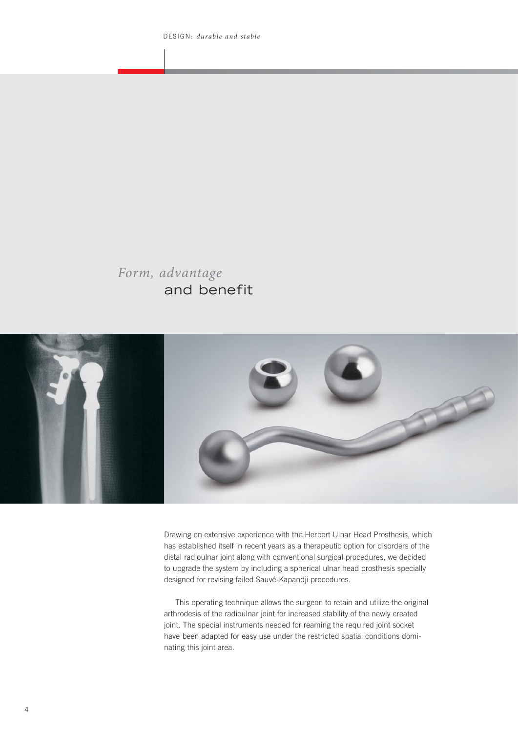# *Form, advantage*  and benefit



Drawing on extensive experience with the Herbert Ulnar Head Prosthesis, which has established itself in recent years as a therapeutic option for disorders of the distal radioulnar joint along with conventional surgical procedures, we decided to upgrade the system by including a spherical ulnar head prosthesis specially designed for revising failed Sauvé-Kapandji procedures.

This operating technique allows the surgeon to retain and utilize the original arthrodesis of the radioulnar joint for increased stability of the newly created joint. The special instruments needed for reaming the required joint socket have been adapted for easy use under the restricted spatial conditions dominating this joint area.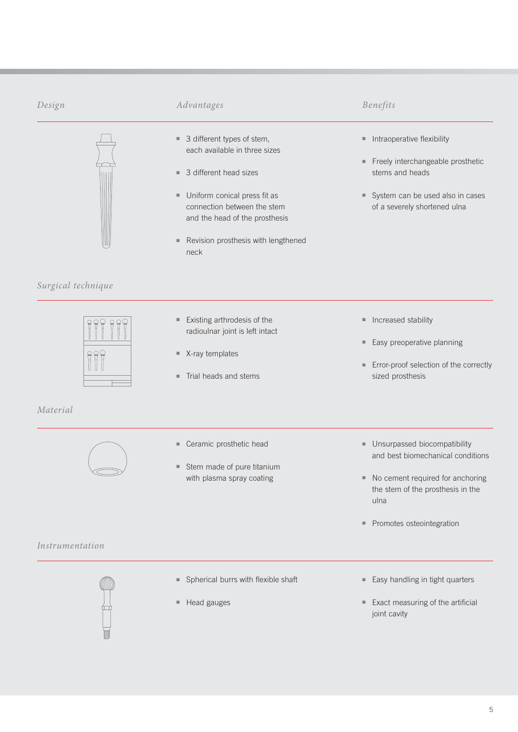

# *Surgical technique*

# *Material*



- 3 different types of stem, each available in three sizes
- 3 different head sizes
- Uniform conical press fit as connection between the stem and the head of the prosthesis
- Revision prosthesis with lengthened neck

### *Design Advantages Benefits*

- Intraoperative flexibility
- Freely interchangeable prosthetic stems and heads
- System can be used also in cases of a severely shortened ulna

■ Existing arthrodesis of the radioulnar joint is left intact

- X-ray templates
- Trial heads and stems
- Increased stability
- Easy preoperative planning
- Error-proof selection of the correctly sized prosthesis

- Ceramic prosthetic head
- Stem made of pure titanium with plasma spray coating
- Unsurpassed biocompatibility and best biomechanical conditions
- No cement required for anchoring the stem of the prosthesis in the ulna
- Promotes osteointegration

### *Instrumentation*



- Spherical burrs with flexible shaft
- Head gauges
- Easy handling in tight quarters
- Exact measuring of the artificial joint cavity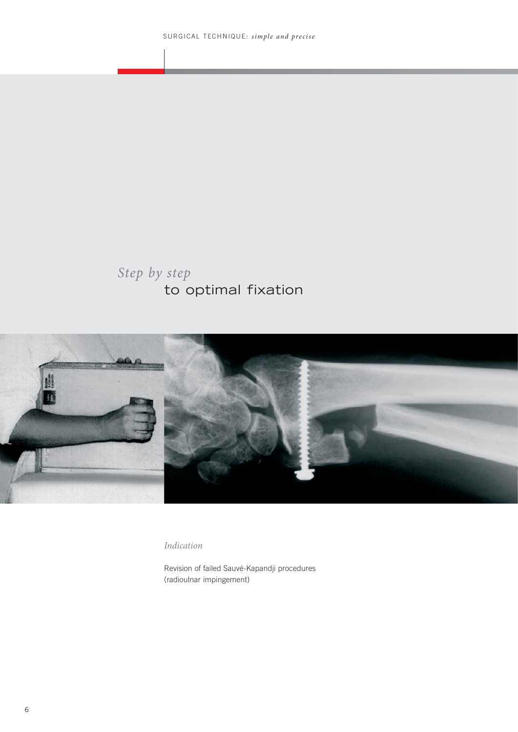# *Step by step*  to optimal fixation



*Indication*

Revision of failed Sauvé-Kapandji procedures (radioulnar impingement)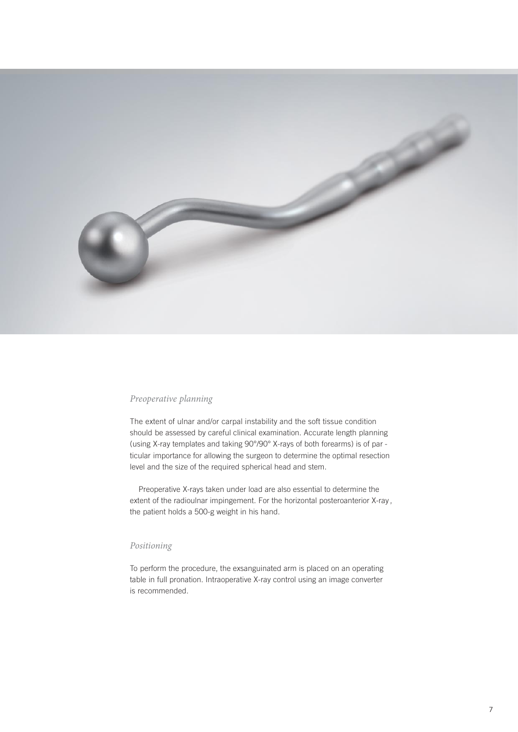

#### *Preoperative planning*

The extent of ulnar and/or carpal instability and the soft tissue condition should be assessed by careful clinical examination. Accurate length planning (using X-ray templates and taking 90°/90° X-rays of both forearms) is of par ticular importance for allowing the surgeon to determine the optimal resection level and the size of the required spherical head and stem.

Preoperative X-rays taken under load are also essential to determine the extent of the radioulnar impingement. For the horizontal posteroanterior X-ray, the patient holds a 500-g weight in his hand.

#### *Positioning*

To perform the procedure, the exsanguinated arm is placed on an operating table in full pronation. Intraoperative X-ray control using an image converter is recommended.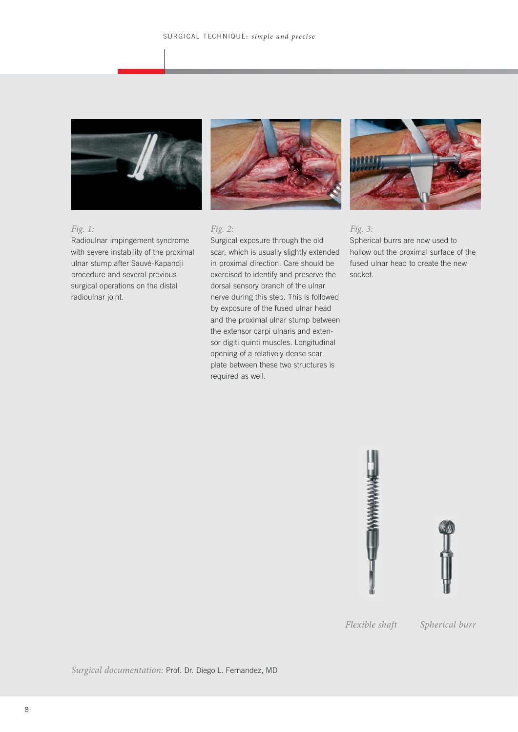

#### *Fig. 1:*

Radioulnar impingement syndrome with severe instability of the proximal ulnar stump after Sauvé-Kapandji procedure and several previous surgical operations on the distal radioulnar joint.



#### *Fig. 2:*

Surgical exposure through the old scar, which is usually slightly extended in proximal direction. Care should be exercised to identify and preserve the dorsal sensory branch of the ulnar nerve during this step. This is followed by exposure of the fused ulnar head and the proximal ulnar stump between the extensor carpi ulnaris and extensor digiti quinti muscles. Longitudinal opening of a relatively dense scar plate between these two structures is required as well.



#### *Fig. 3:*

Spherical burrs are now used to hollow out the proximal surface of the fused ulnar head to create the new socket.





*Flexible shaft Spherical burr*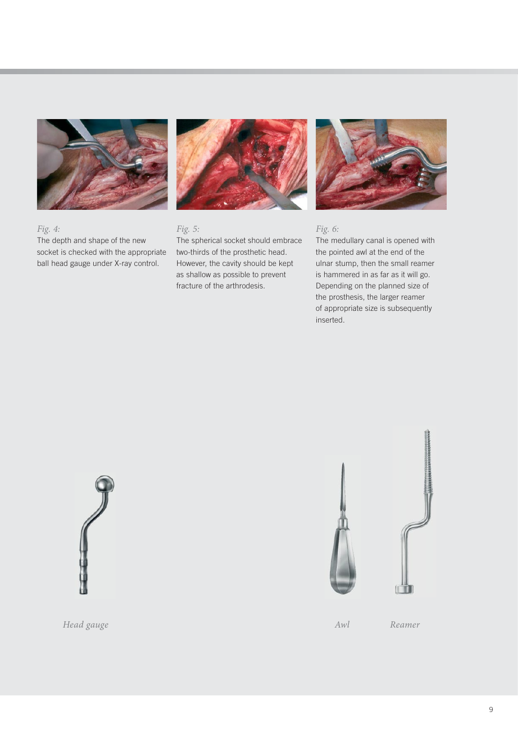

The depth and shape of the new socket is checked with the appropriate ball head gauge under X-ray control.

*Fig. 4:* 



## *Fig. 5:*

The spherical socket should embrace two-thirds of the prosthetic head. However, the cavity should be kept as shallow as possible to prevent fracture of the arthrodesis.



## *Fig. 6:*

The medullary canal is opened with the pointed awl at the end of the ulnar stump, then the small reamer is hammered in as far as it will go. Depending on the planned size of the prosthesis, the larger reamer of appropriate size is subsequently inserted.







*Head gauge Awl Reamer*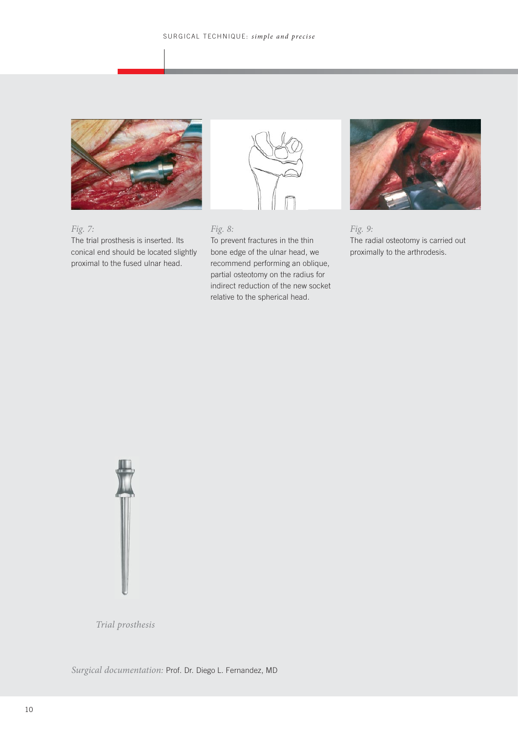

*Fig. 7:*  The trial prosthesis is inserted. Its conical end should be located slightly proximal to the fused ulnar head.



### *Fig. 8:*

To prevent fractures in the thin bone edge of the ulnar head, we recommend performing an oblique, partial osteotomy on the radius for indirect reduction of the new socket relative to the spherical head.



*Fig. 9:*  The radial osteotomy is carried out proximally to the arthrodesis.

![](_page_9_Picture_8.jpeg)

*Trial prosthesis*

*Surgical documentation:* Prof. Dr. Diego L. Fernandez, MD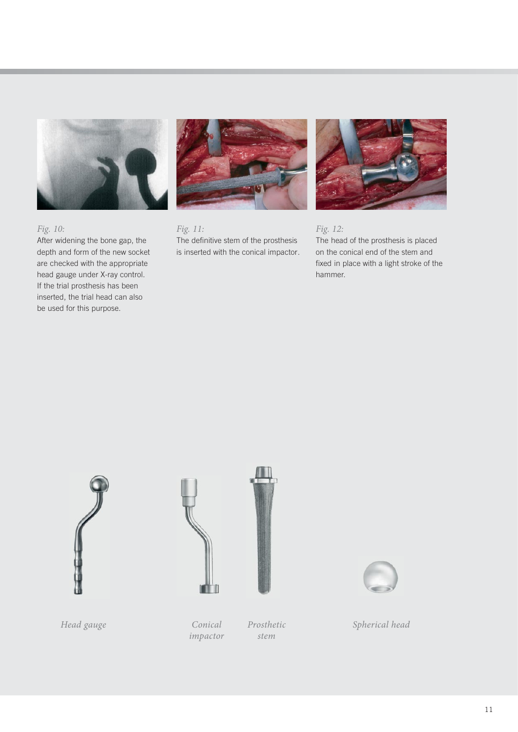![](_page_10_Picture_0.jpeg)

*Fig. 10:* 

After widening the bone gap, the depth and form of the new socket are checked with the appropriate head gauge under X-ray control. If the trial prosthesis has been inserted, the trial head can also be used for this purpose.

![](_page_10_Picture_3.jpeg)

*Fig. 11:*  The definitive stem of the prosthesis is inserted with the conical impactor.

![](_page_10_Picture_5.jpeg)

*Fig. 12:*  The head of the prosthesis is placed on the conical end of the stem and fixed in place with a light stroke of the hammer.

![](_page_10_Picture_9.jpeg)

![](_page_10_Picture_10.jpeg)

*impactor*

*Prosthetic stem*

![](_page_10_Picture_13.jpeg)

*Spherical head*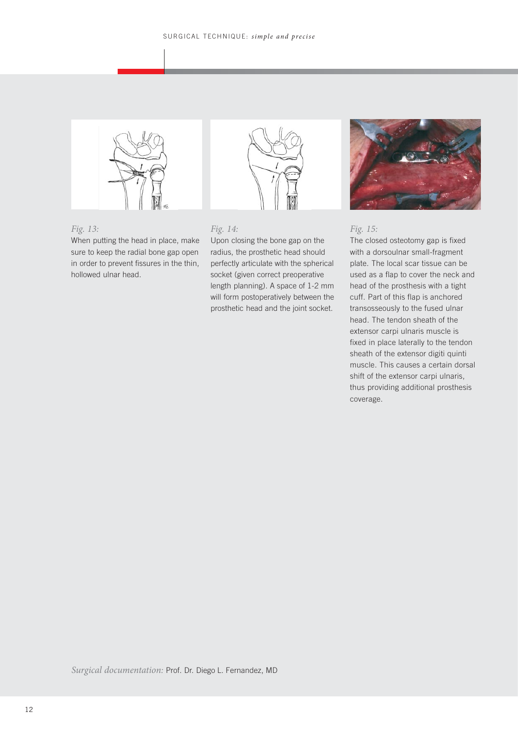![](_page_11_Picture_1.jpeg)

#### *Fig. 13:*

When putting the head in place, make sure to keep the radial bone gap open in order to prevent fissures in the thin, hollowed ulnar head.

![](_page_11_Picture_4.jpeg)

![](_page_11_Picture_5.jpeg)

### *Fig. 15:*

The closed osteotomy gap is fixed with a dorsoulnar small-fragment plate. The local scar tissue can be used as a flap to cover the neck and head of the prosthesis with a tight cuff. Part of this flap is anchored transosseously to the fused ulnar head. The tendon sheath of the extensor carpi ulnaris muscle is fixed in place laterally to the tendon sheath of the extensor digiti quinti muscle. This causes a certain dorsal shift of the extensor carpi ulnaris, thus providing additional prosthesis coverage.

*Surgical documentation:* Prof. Dr. Diego L. Fernandez, MD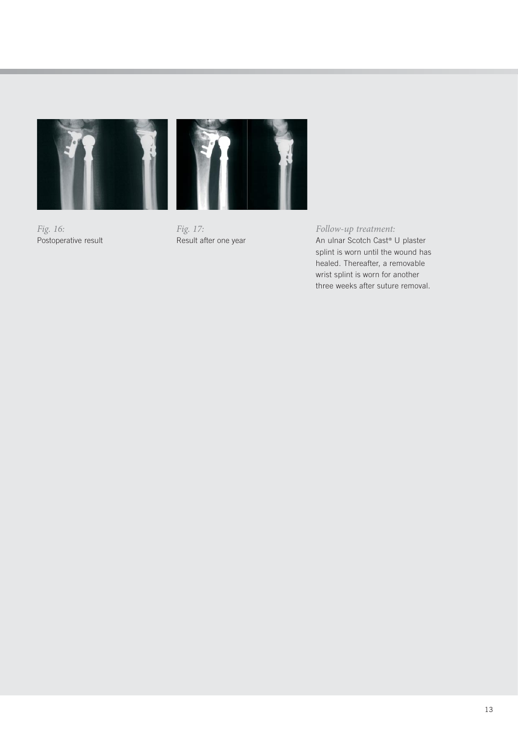![](_page_12_Picture_0.jpeg)

![](_page_12_Picture_1.jpeg)

*Fig. 16:*  Postoperative result

*Fig. 17:*  Result after one year

*Follow-up treatment:* An ulnar Scotch Cast<sup>®</sup> U plaster splint is worn until the wound has healed. Thereafter, a removable wrist splint is worn for another three weeks after suture removal.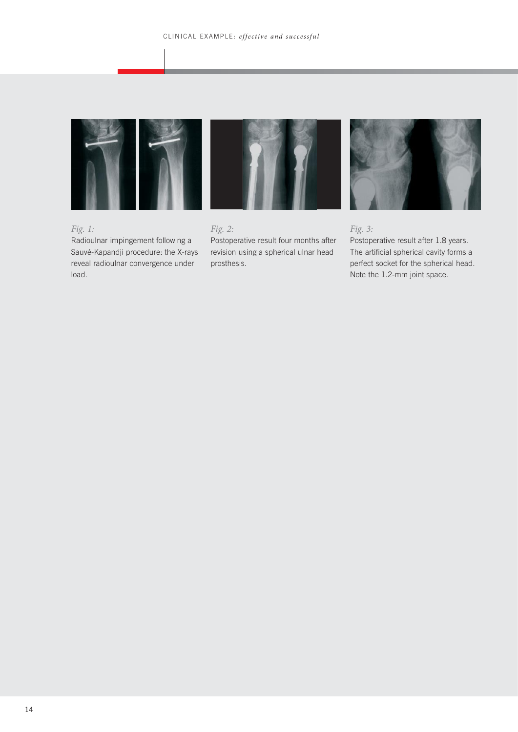![](_page_13_Picture_1.jpeg)

![](_page_13_Picture_2.jpeg)

![](_page_13_Picture_3.jpeg)

# *Fig. 1:*

Radioulnar impingement following a Sauvé-Kapandji procedure: the X-rays reveal radioulnar convergence under load.

*Fig. 2:*  Postoperative result four months after revision using a spherical ulnar head prosthesis.

### *Fig. 3:*

Postoperative result after 1.8 years. The artificial spherical cavity forms a perfect socket for the spherical head. Note the 1.2-mm joint space.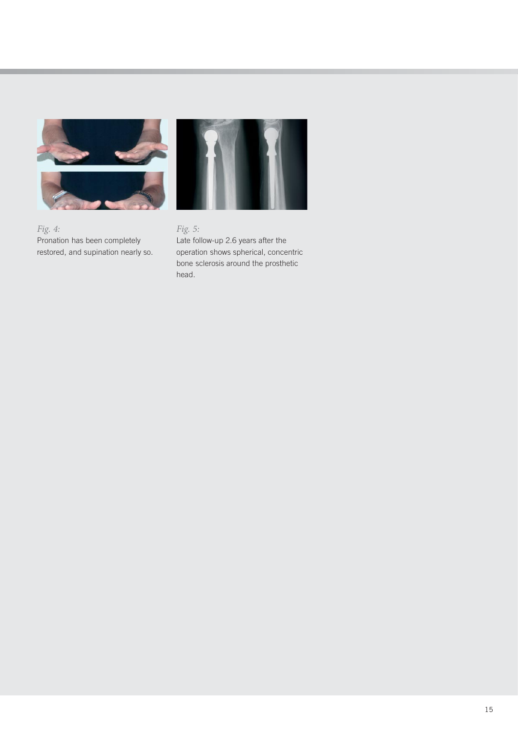![](_page_14_Picture_0.jpeg)

![](_page_14_Picture_1.jpeg)

# *Fig. 5:*

Late follow-up 2.6 years after the operation shows spherical, concentric bone sclerosis around the prosthetic head.

*Fig. 4:*  Pronation has been completely restored, and supination nearly so.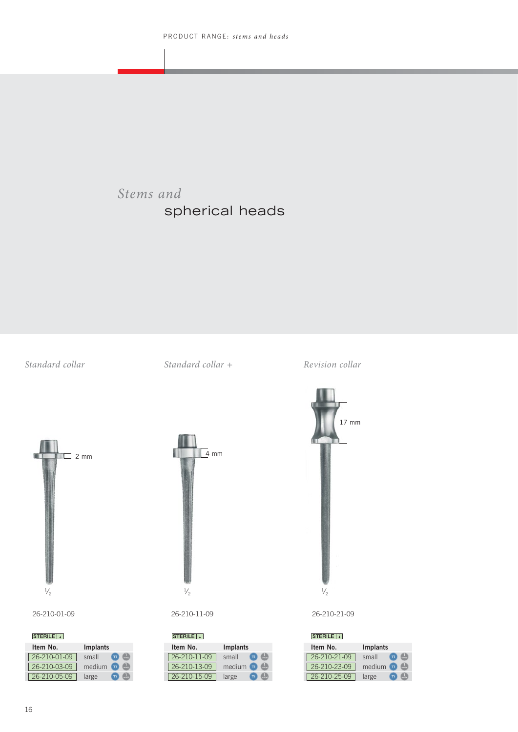# *Stems and*  spherical heads

*Standard collar Standard collar + Revision collar*

![](_page_15_Figure_4.jpeg)

26-210-01-09 26-210-11-09 26-210-21-09

| <b>STERILE II</b> |              |
|-------------------|--------------|
| Item No.          | Implants     |
| 26-210-21-09      | small<br>Τì  |
| 26-210-23-09      | medium<br>Ti |
| 26-210-25-09      | large<br>Ti  |

 $\frac{1}{2}$   $\frac{1}{2}$   $\frac{1}{2}$ 

**Item No. Implants**   $26-210-01-09$  small **1** 26-210-03-09 | medium **26-210-05-09** large **units** 

**STERILE II** 

 $=$  2 mm

| STERILE <sup>1</sup> |                        |  |  |
|----------------------|------------------------|--|--|
| Item No.             | <b>Implants</b>        |  |  |
| 26-210-11-09         | small<br>Τì            |  |  |
| $26 - 210 - 13 - 09$ | medium<br>Ti.<br>unit@ |  |  |
| 26-210-15-09         | large<br>Τì            |  |  |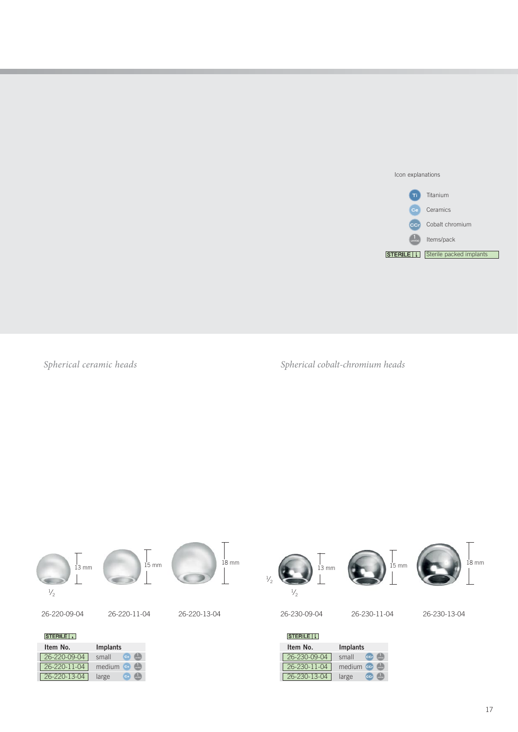![](_page_16_Picture_0.jpeg)

*Spherical ceramic heads*

*Spherical cobalt-chromium heads*

![](_page_16_Figure_3.jpeg)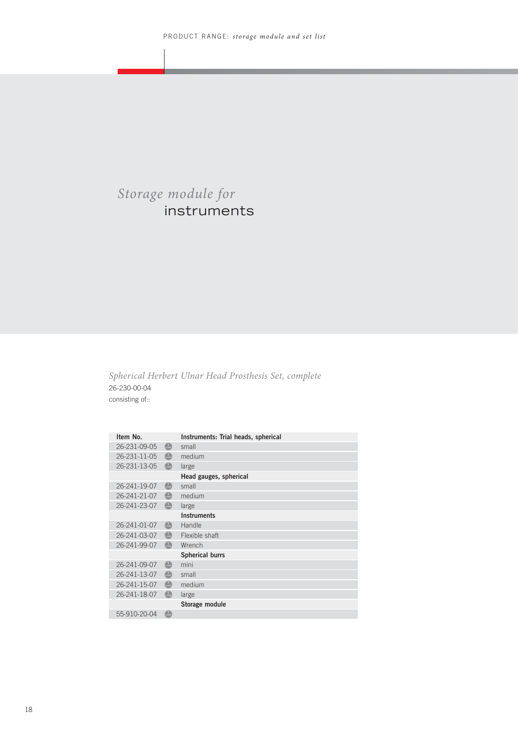# *Storage module for* instruments

*Spherical Herbert Ulnar Head Prosthesis Set, complete* 26-230-00-04 consisting of::

| Item No.     |                           | Instruments: Trial heads, spherical |
|--------------|---------------------------|-------------------------------------|
| 26-231-09-05 | $\bigoplus$               | small                               |
| 26-231-11-05 | $\color{red} \bigoplus$   | medium                              |
| 26-231-13-05 | $\color{red}\bullet$      | large                               |
|              |                           | Head gauges, spherical              |
| 26-241-19-07 | $\bigoplus$               | small                               |
| 26-241-21-07 | $\color{red} \bigoplus$   | medium                              |
| 26-241-23-07 | $\color{red}\bullet$      | large                               |
|              |                           | <b>Instruments</b>                  |
| 26-241-01-07 | $\color{red}\blacksquare$ | Handle                              |
| 26-241-03-07 | $\color{red} \bigoplus$   | Flexible shaft                      |
| 26-241-99-07 | $\color{red}\Box$         | Wrench                              |
|              |                           | <b>Spherical burrs</b>              |
| 26-241-09-07 | $\bigoplus$               | mini                                |
| 26-241-13-07 | $\color{red} \bigoplus$   | small                               |
| 26-241-15-07 | $\color{red}\Box$         | medium                              |
| 26-241-18-07 | $\bigoplus$               | large                               |
|              |                           | Storage module                      |
| 55-910-20-04 | $\Box$                    |                                     |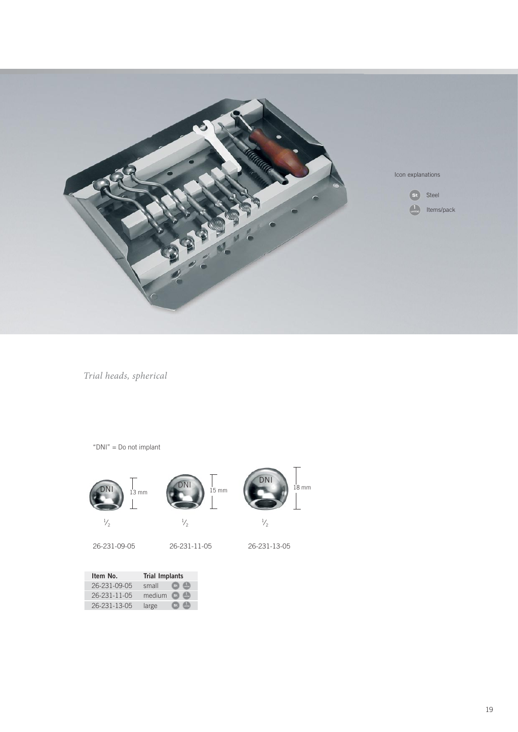![](_page_18_Picture_0.jpeg)

*Trial heads, spherical*

![](_page_18_Figure_2.jpeg)

![](_page_18_Picture_3.jpeg)

![](_page_18_Picture_4.jpeg)

![](_page_18_Picture_5.jpeg)

![](_page_18_Picture_6.jpeg)

26-231-09-05 26-231-11-05 26-231-13-05

| Item No.     | <b>Trial Implants</b> |
|--------------|-----------------------|
| 26-231-09-05 | small<br>St           |
| 26-231-11-05 | medium<br>$ $ St $ $  |
| 26-231-13-05 | large<br>st l         |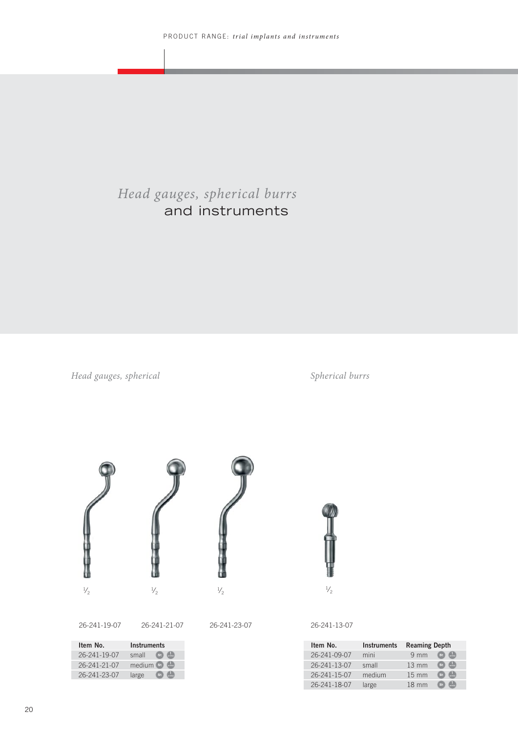# *Head gauges, spherical burrs*  and instruments

*Head gauges, spherical*

*Spherical burrs*

![](_page_19_Picture_4.jpeg)

26-241-19-07 26-241-21-07 26-241-23-07

| Item No.     | <b>Instruments</b>  |
|--------------|---------------------|
| 26-241-19-07 | small<br><b>St</b>  |
| 26-241-21-07 | $median$ set<br>A., |
| 26-241-23-07 | large               |

| $\prime$ | 241-23-0 |
|----------|----------|
|----------|----------|

### 26-241-13-07

 $\frac{1}{2}$ 

| Item No.     | <b>Instruments</b> | <b>Reaming Depth</b>                   |
|--------------|--------------------|----------------------------------------|
| 26-241-09-07 | mini               | $9 \text{ mm}$<br>وسأسأ<br><b>St</b>   |
| 26-241-13-07 | small              | $13 \text{ mm}$<br>St.<br>anista.      |
| 26-241-15-07 | medium             | $15 \text{ mm}$<br><b>St</b><br>l mino |
| 26-241-18-07 | large              | $18 \text{ mm}$<br><b>St</b><br>unitis |
|              |                    |                                        |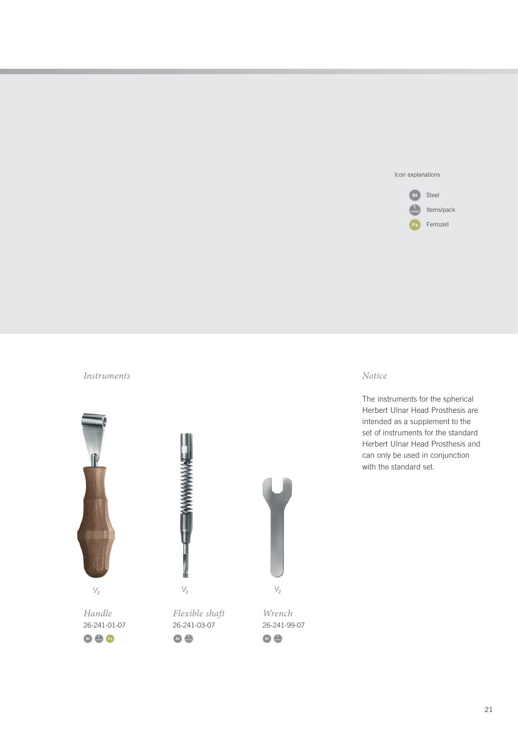#### Icon explanations

![](_page_20_Figure_1.jpeg)

### *Instruments Notice*

![](_page_20_Figure_3.jpeg)

The instruments for the spherical Herbert Ulnar Head Prosthesis are intended as a supplement to the set of instruments for the standard Herbert Ulnar Head Prosthesis and can only be used in conjunction with the standard set.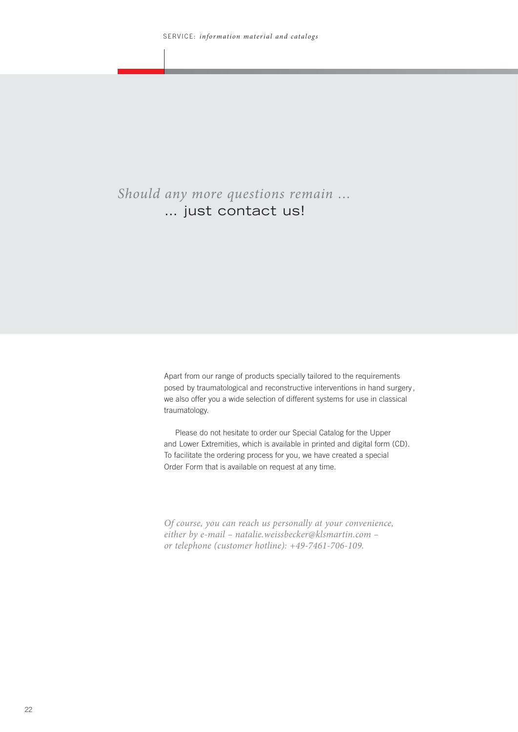# *Should any more questions remain …*  … just contact us!

Apart from our range of products specially tailored to the requirements posed by traumatological and reconstructive interventions in hand surgery, we also offer you a wide selection of different systems for use in classical traumatology.

Please do not hesitate to order our Special Catalog for the Upper and Lower Extremities, which is available in printed and digital form (CD). To facilitate the ordering process for you, we have created a special Order Form that is available on request at any time.

*Of course, you can reach us personally at your convenience, either by e-mail – natalie.weissbecker@klsmartin.com – or telephone (customer hotline): +49-7461-706-109.*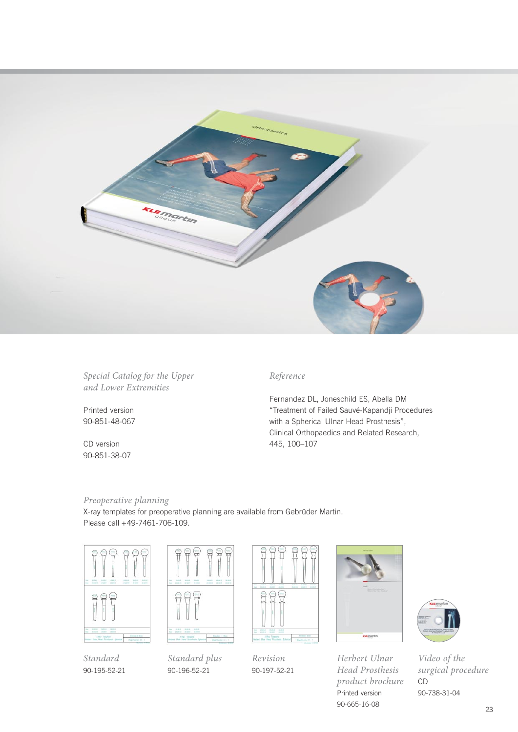![](_page_22_Picture_0.jpeg)

*Special Catalog for the Upper and Lower Extremities*

Printed version 90-851-48-067

CD version 90-851-38-07

### *Reference*

Fernandez DL, Joneschild ES, Abella DM "Treatment of Failed Sauvé-Kapandji Procedures with a Spherical Ulnar Head Prosthesis", Clinical Orthopaedics and Related Research, 445, 100–107

## *Preoperative planning*

X-ray templates for preoperative planning are available from Gebrüder Martin. Please call +49-7461-706-109.

![](_page_22_Picture_8.jpeg)

*Standard* 90-195-52-21

![](_page_22_Picture_10.jpeg)

*Standard plus* 90-196-52-21

![](_page_22_Picture_12.jpeg)

*Revision* 90-197-52-21

![](_page_22_Picture_14.jpeg)

*Herbert Ulnar Head Prosthesis product brochure* Printed version 90-665-16-08

![](_page_22_Picture_16.jpeg)

*Video of the surgical procedure* CD 90-738-31-04